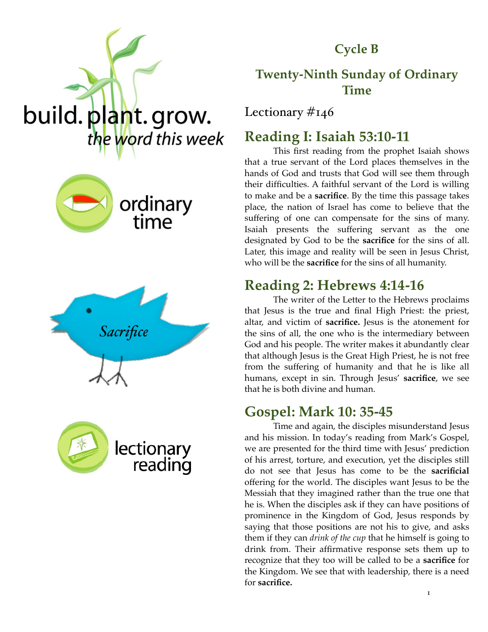**Cycle B**

## **Twenty-Ninth Sunday of Ordinary Time**

Lectionary #146

## **Reading I: Isaiah 53:10-11**

This first reading from the prophet Isaiah shows that a true servant of the Lord places themselves in the hands of God and trusts that God will see them through their difficulties. A faithful servant of the Lord is willing to make and be a **sacrifice**. By the time this passage takes place, the nation of Israel has come to believe that the suffering of one can compensate for the sins of many. Isaiah presents the suffering servant as the one designated by God to be the **sacrifice** for the sins of all. Later, this image and reality will be seen in Jesus Christ, who will be the **sacrifice** for the sins of all humanity.

## **Reading 2: Hebrews 4:14-16**

The writer of the Letter to the Hebrews proclaims that Jesus is the true and final High Priest: the priest, altar, and victim of **sacrifice.** Jesus is the atonement for the sins of all, the one who is the intermediary between God and his people. The writer makes it abundantly clear that although Jesus is the Great High Priest, he is not free from the suffering of humanity and that he is like all humans, except in sin. Through Jesus' **sacrifice**, we see that he is both divine and human.

## **Gospel: Mark 10: 35-45**

Time and again, the disciples misunderstand Jesus and his mission. In today's reading from Mark's Gospel, we are presented for the third time with Jesus' prediction of his arrest, torture, and execution, yet the disciples still do not see that Jesus has come to be the **sacrificial**  offering for the world. The disciples want Jesus to be the Messiah that they imagined rather than the true one that he is. When the disciples ask if they can have positions of prominence in the Kingdom of God, Jesus responds by saying that those positions are not his to give, and asks them if they can *drink of the cup* that he himself is going to drink from. Their affirmative response sets them up to recognize that they too will be called to be a **sacrifice** for the Kingdom. We see that with leadership, there is a need for **sacrifice.** 







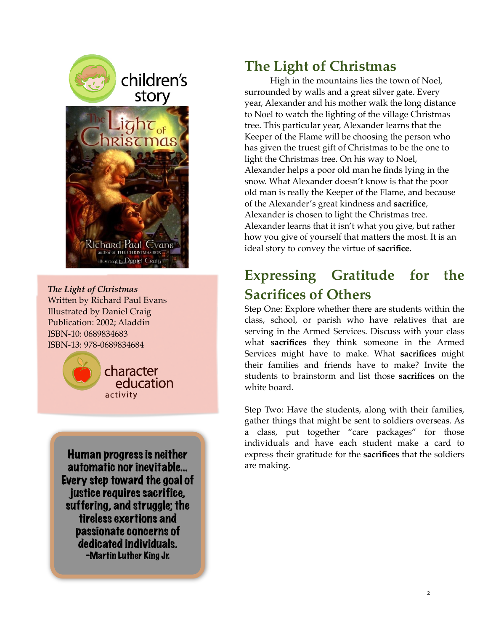

*The Light of Christmas* Written by Richard Paul Evans Illustrated by Daniel Craig Publication: 2002; Aladdin ISBN-10: 0689834683 ISBN-13: 978-0689834684



Human progress is neither automatic nor inevitable… Every step toward the goal of justice requires sacrifice. suffering, and struggle; the tireless exertions and passionate concerns of dedicated individuals. -Martin Luther King Jr.

## **The Light of Christmas**

High in the mountains lies the town of Noel, surrounded by walls and a great silver gate. Every year, Alexander and his mother walk the long distance to Noel to watch the lighting of the village Christmas tree. This particular year, Alexander learns that the Keeper of the Flame will be choosing the person who has given the truest gift of Christmas to be the one to light the Christmas tree. On his way to Noel, Alexander helps a poor old man he finds lying in the snow. What Alexander doesn't know is that the poor old man is really the Keeper of the Flame, and because of the Alexander's great kindness and **sacrifice**, Alexander is chosen to light the Christmas tree. Alexander learns that it isn't what you give, but rather how you give of yourself that matters the most. It is an ideal story to convey the virtue of **sacrifice.** 

# **Expressing Gratitude for the Sacrifices of Others**

Step One: Explore whether there are students within the class, school, or parish who have relatives that are serving in the Armed Services. Discuss with your class what **sacrifices** they think someone in the Armed Services might have to make. What **sacrifices** might their families and friends have to make? Invite the students to brainstorm and list those **sacrifices** on the white board.

Step Two: Have the students, along with their families, gather things that might be sent to soldiers overseas. As a class, put together "care packages" for those individuals and have each student make a card to express their gratitude for the **sacrifices** that the soldiers are making.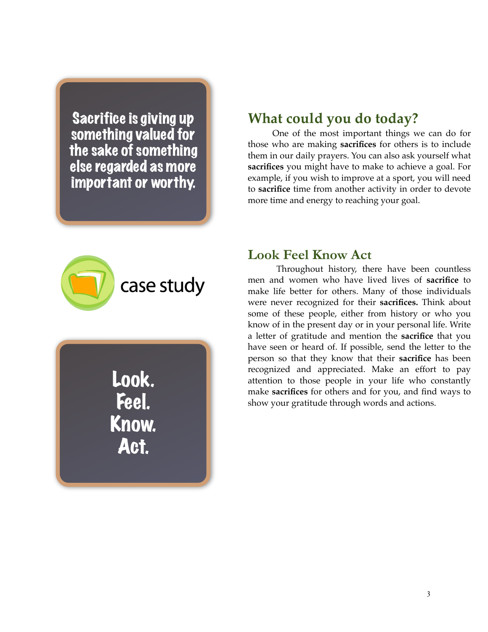Sacrifice is giving up something valued for the sake of something else regarded as more important or worthy.

### **What could you do today?**

One of the most important things we can do for those who are making **sacrifices** for others is to include them in our daily prayers. You can also ask yourself what **sacrifices** you might have to make to achieve a goal. For example, if you wish to improve at a sport, you will need to **sacrifice** time from another activity in order to devote more time and energy to reaching your goal.



Look. Feel. Know. Act.

#### **Look Feel Know Act**

Throughout history, there have been countless men and women who have lived lives of **sacrifice** to make life better for others. Many of those individuals were never recognized for their **sacrifices.** Think about some of these people, either from history or who you know of in the present day or in your personal life. Write a letter of gratitude and mention the **sacrifice** that you have seen or heard of. If possible, send the letter to the person so that they know that their **sacrifice** has been recognized and appreciated. Make an effort to pay attention to those people in your life who constantly make **sacrifices** for others and for you, and find ways to show your gratitude through words and actions.